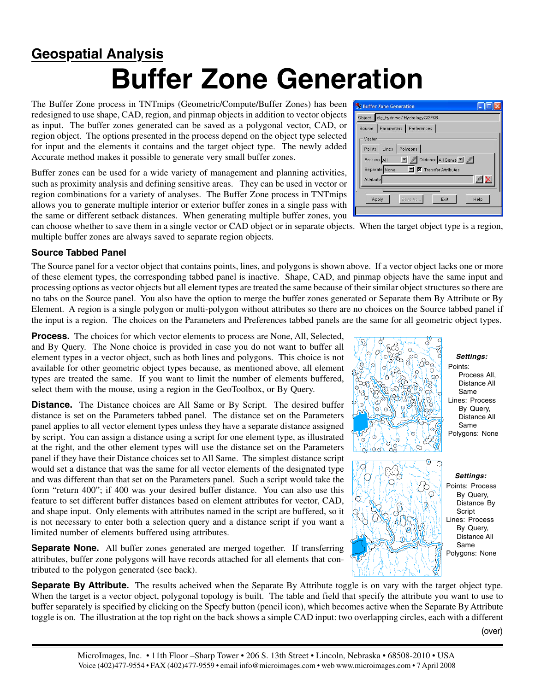## **Buffer Zone Generation Geospatial Analysis**

The Buffer Zone process in TNTmips (Geometric/Compute/Buffer Zones) has been redesigned to use shape, CAD, region, and pinmap objects in addition to vector objects as input. The buffer zones generated can be saved as a polygonal vector, CAD, or region object. The options presented in the process depend on the object type selected for input and the elements it contains and the target object type. The newly added Accurate method makes it possible to generate very small buffer zones.

Buffer zones can be used for a wide variety of management and planning activities, such as proximity analysis and defining sensitive areas. They can be used in vector or region combinations for a variety of analyses. The Buffer Zone process in TNTmips allows you to generate multiple interior or exterior buffer zones in a single pass with the same or different setback distances. When generating multiple buffer zones, you

can choose whether to save them in a single vector or CAD object or in separate objects. When the target object type is a region, multiple buffer zones are always saved to separate region objects.

## **Source Tabbed Panel**

The Source panel for a vector object that contains points, lines, and polygons is shown above. If a vector object lacks one or more of these element types, the corresponding tabbed panel is inactive. Shape, CAD, and pinmap objects have the same input and processing options as vector objects but all element types are treated the same because of their similar object structures so there are no tabs on the Source panel. You also have the option to merge the buffer zones generated or Separate them By Attribute or By Element. A region is a single polygon or multi-polygon without attributes so there are no choices on the Source tabbed panel if the input is a region. The choices on the Parameters and Preferences tabbed panels are the same for all geometric object types.

**Process.** The choices for which vector elements to process are None, All, Selected, and By Query. The None choice is provided in case you do not want to buffer all element types in a vector object, such as both lines and polygons. This choice is not available for other geometric object types because, as mentioned above, all element types are treated the same. If you want to limit the number of elements buffered, select them with the mouse, using a region in the GeoToolbox, or By Query.

**Distance.** The Distance choices are All Same or By Script. The desired buffer distance is set on the Parameters tabbed panel. The distance set on the Parameters panel applies to all vector element types unless they have a separate distance assigned by script. You can assign a distance using a script for one element type, as illustrated at the right, and the other element types will use the distance set on the Parameters panel if they have their Distance choices set to All Same. The simplest distance script would set a distance that was the same for all vector elements of the designated type and was different than that set on the Parameters panel. Such a script would take the form "return 400"; if 400 was your desired buffer distance. You can also use this feature to set different buffer distances based on element attributes for vector, CAD, and shape input. Only elements with attributes named in the script are buffered, so it is not necessary to enter both a selection query and a distance script if you want a limited number of elements buffered using attributes.

**Separate None.** All buffer zones generated are merged together. If transferring attributes, buffer zone polygons will have records attached for all elements that contributed to the polygon generated (see back).

**Separate By Attribute.** The results acheived when the Separate By Attribute toggle is on vary with the target object type. When the target is a vector object, polygonal topology is built. The table and field that specify the attribute you want to use to buffer separately is specified by clicking on the Specfy button (pencil icon), which becomes active when the Separate By Attribute toggle is on. The illustration at the top right on the back shows a simple CAD input: two overlapping circles, each with a different